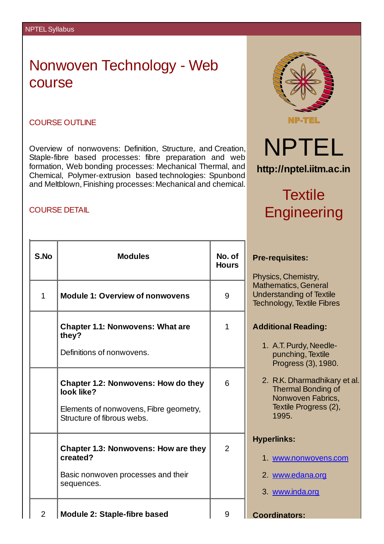## Nonwoven Technology - Web course

#### COURSE OUTLINE

Overview of nonwovens: Definition, Structure, and Creation, Staple-fibre based processes: fibre preparation and web formation, Web bonding processes: Mechanical Thermal, and Chemical, Polymer-extrusion based technologies: Spunbond and Meltblown, Finishing processes: Mechanical and chemical.

### COURSE DETAIL

| <b>NP-TEL</b> |  |
|---------------|--|
|               |  |

### **http://nptel.iitm.ac.in**

NPTEL

# **Textile Engineering**

### **Pre-requisites:**

Physics, Chemistry, Mathematics, General Understanding of Textile Technology, Textile Fibres

### **Additional Reading:**

- 1. A.T.Purdy, Needlepunching, Textile Progress (3), 1980.
- 2. R.K. Dharmadhikary et al. Thermal Bonding of Nonwoven Fabrics, Textile Progress (2), 1995.

### **Hyperlinks:**

- 1. [www.nonwovens.com](http://www.nonwovens.com)
- 2. [www.edana.org](http://www.edana.org)
- 3. [www.inda.org](http://www.inda.org)

**Coordinators:**

| S.No           | <b>Modules</b>                                                       | No. of<br><b>Hours</b> |
|----------------|----------------------------------------------------------------------|------------------------|
| $\mathbf{1}$   | <b>Module 1: Overview of nonwovens</b>                               | 9                      |
|                | <b>Chapter 1.1: Nonwovens: What are</b><br>they?                     | $\mathbf{1}$           |
|                | Definitions of nonwovens.                                            |                        |
|                | <b>Chapter 1.2: Nonwovens: How do they</b><br>look like?             | 6                      |
|                | Elements of nonwovens, Fibre geometry,<br>Structure of fibrous webs. |                        |
|                | <b>Chapter 1.3: Nonwovens: How are they</b><br>created?              | 2                      |
|                | Basic nonwoven processes and their<br>sequences.                     |                        |
| $\overline{2}$ | <b>Module 2: Staple-fibre based</b>                                  | 9                      |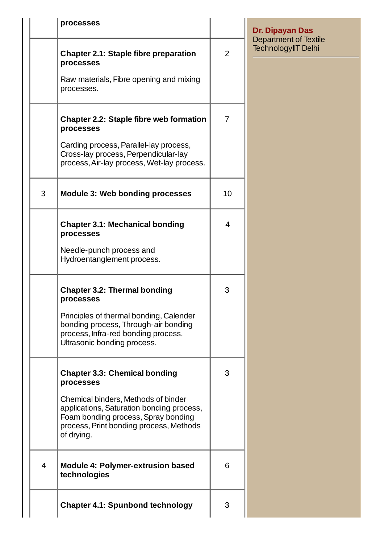|                | processes                                                                                                                                                                        |                | <b>Dr. Dipayan Das</b><br><b>Department of Textile</b> |
|----------------|----------------------------------------------------------------------------------------------------------------------------------------------------------------------------------|----------------|--------------------------------------------------------|
|                | <b>Chapter 2.1: Staple fibre preparation</b><br>processes                                                                                                                        | $\overline{2}$ | TechnologyIIT Delhi                                    |
|                | Raw materials, Fibre opening and mixing<br>processes.                                                                                                                            |                |                                                        |
|                | <b>Chapter 2.2: Staple fibre web formation</b><br>processes                                                                                                                      | $\overline{7}$ |                                                        |
|                | Carding process, Parallel-lay process,<br>Cross-lay process, Perpendicular-lay<br>process, Air-lay process, Wet-lay process.                                                     |                |                                                        |
| 3              | <b>Module 3: Web bonding processes</b>                                                                                                                                           | 10             |                                                        |
|                | <b>Chapter 3.1: Mechanical bonding</b><br>processes                                                                                                                              | 4              |                                                        |
|                | Needle-punch process and<br>Hydroentanglement process.                                                                                                                           |                |                                                        |
|                | <b>Chapter 3.2: Thermal bonding</b><br>processes                                                                                                                                 | 3              |                                                        |
|                | Principles of thermal bonding, Calender<br>bonding process, Through-air bonding<br>process, Infra-red bonding process,<br>Ultrasonic bonding process.                            |                |                                                        |
|                | <b>Chapter 3.3: Chemical bonding</b><br>processes                                                                                                                                | 3              |                                                        |
|                | Chemical binders, Methods of binder<br>applications, Saturation bonding process,<br>Foam bonding process, Spray bonding<br>process, Print bonding process, Methods<br>of drying. |                |                                                        |
| $\overline{4}$ | <b>Module 4: Polymer-extrusion based</b><br>technologies                                                                                                                         | 6              |                                                        |
|                | <b>Chapter 4.1: Spunbond technology</b>                                                                                                                                          | 3              |                                                        |